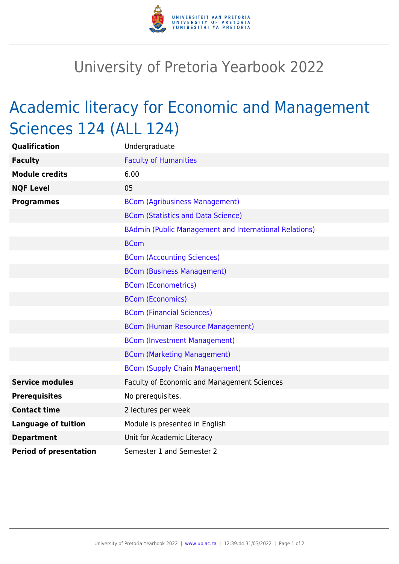

## University of Pretoria Yearbook 2022

## Academic literacy for Economic and Management Sciences 124 (ALL 124)

| <b>Qualification</b>          | Undergraduate                                          |
|-------------------------------|--------------------------------------------------------|
| <b>Faculty</b>                | <b>Faculty of Humanities</b>                           |
| <b>Module credits</b>         | 6.00                                                   |
| <b>NQF Level</b>              | 05                                                     |
| <b>Programmes</b>             | <b>BCom (Agribusiness Management)</b>                  |
|                               | <b>BCom (Statistics and Data Science)</b>              |
|                               | BAdmin (Public Management and International Relations) |
|                               | <b>BCom</b>                                            |
|                               | <b>BCom (Accounting Sciences)</b>                      |
|                               | <b>BCom (Business Management)</b>                      |
|                               | <b>BCom (Econometrics)</b>                             |
|                               | <b>BCom (Economics)</b>                                |
|                               | <b>BCom (Financial Sciences)</b>                       |
|                               | <b>BCom (Human Resource Management)</b>                |
|                               | <b>BCom (Investment Management)</b>                    |
|                               | <b>BCom (Marketing Management)</b>                     |
|                               | <b>BCom (Supply Chain Management)</b>                  |
| <b>Service modules</b>        | Faculty of Economic and Management Sciences            |
| <b>Prerequisites</b>          | No prerequisites.                                      |
| <b>Contact time</b>           | 2 lectures per week                                    |
| <b>Language of tuition</b>    | Module is presented in English                         |
| <b>Department</b>             | Unit for Academic Literacy                             |
| <b>Period of presentation</b> | Semester 1 and Semester 2                              |